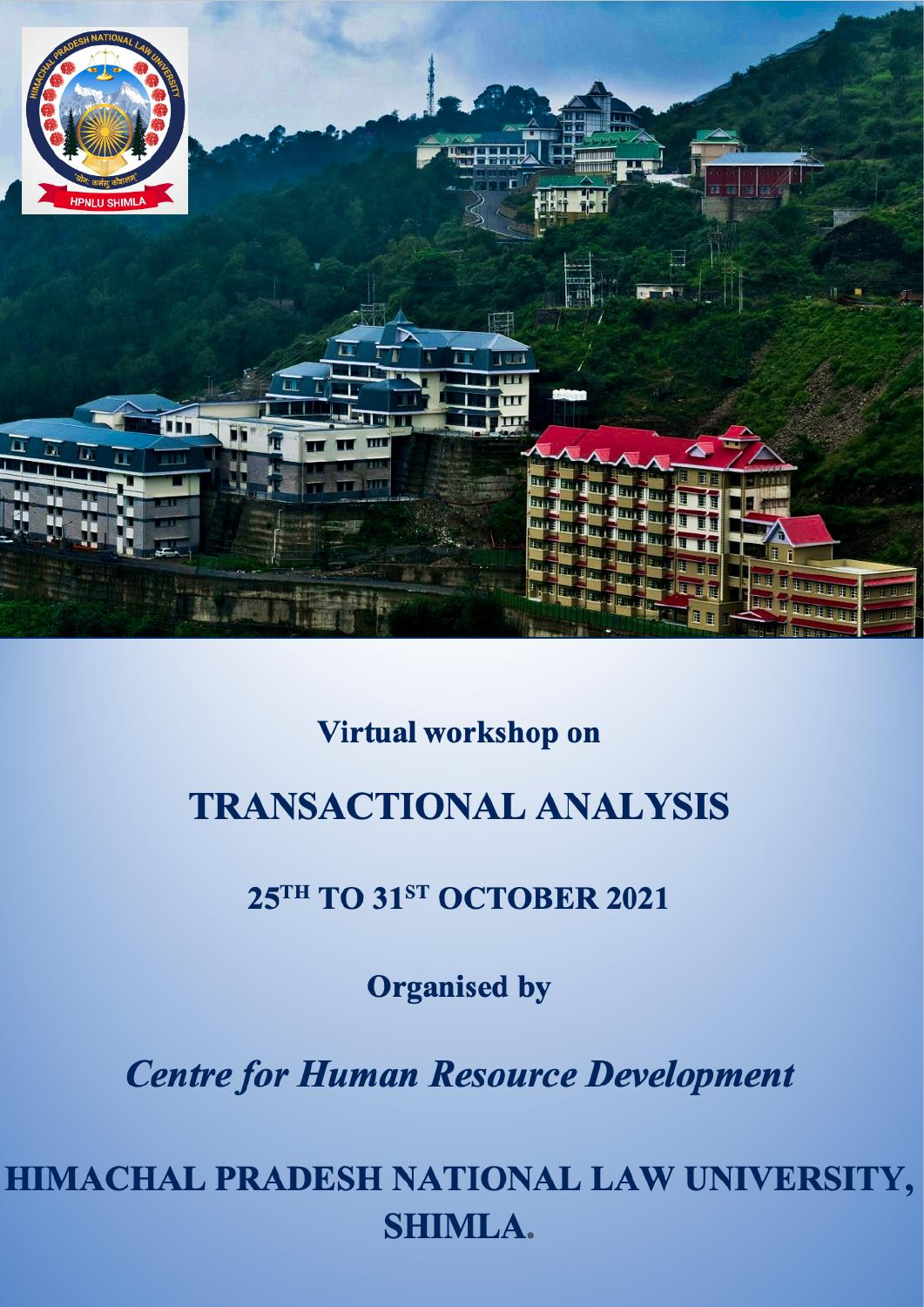

# Virtual workshop on

# **TRANSACTIONAL ANALYSIS**

# 25TH TO 31ST OCTOBER 2021

**Organised by** 

**Centre for Human Resource Development** 

HIMACHAL PRADESH NATIONAL LAW UNIVERSITY, **SHIMLA.**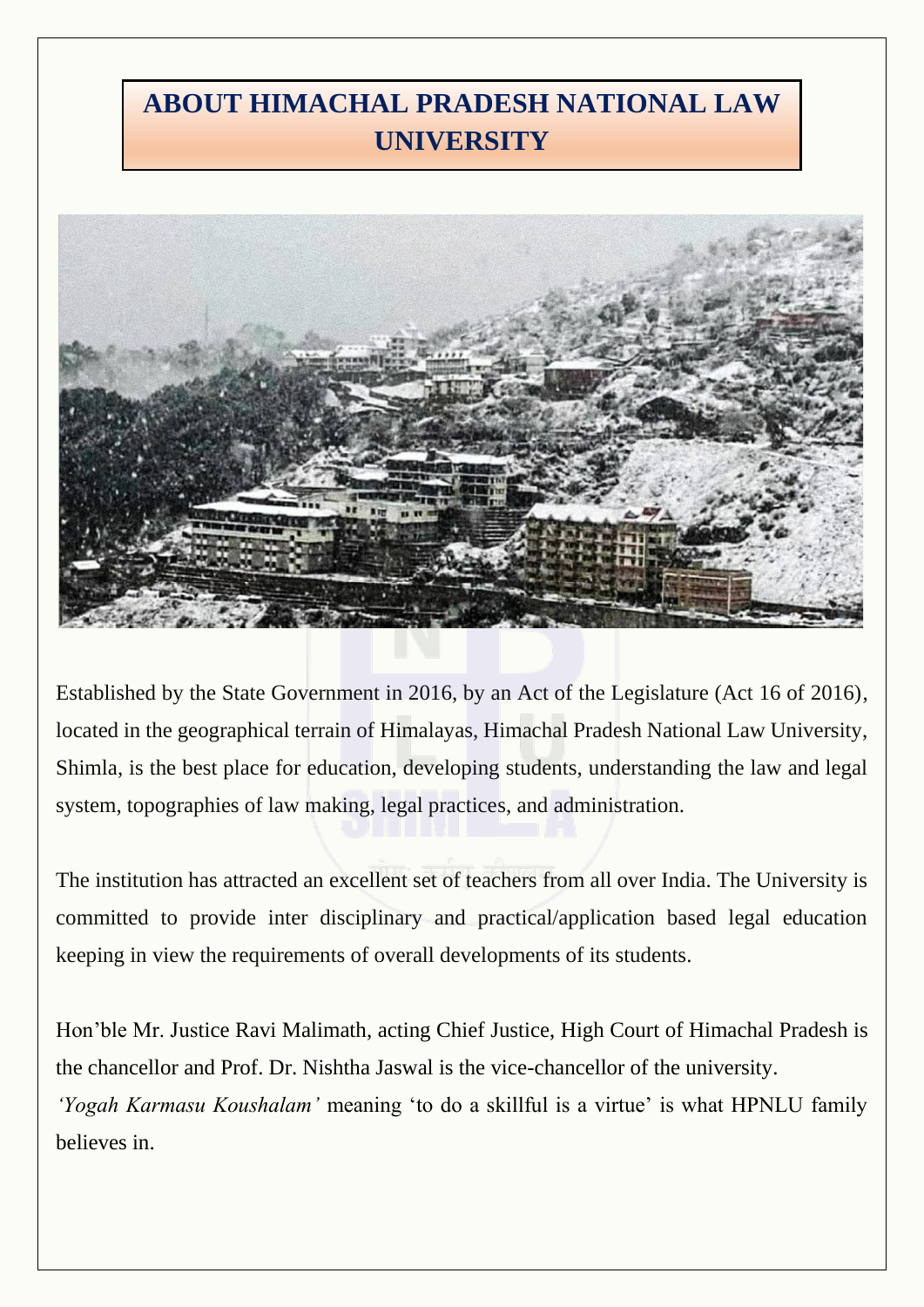# **ABOUT HIMACHAL PRADESH NATIONAL LAW UNIVERSITY**



Established by the State Government in 2016, by an Act of the Legislature (Act 16 of 2016), located in the geographical terrain of Himalayas, Himachal Pradesh National Law University, Shimla, is the best place for education, developing students, understanding the law and legal system, topographies of law making, legal practices, and administration.

The institution has attracted an excellent set of teachers from all over India. The University is committed to provide inter disciplinary and practical/application based legal education keeping in view the requirements of overall developments of its students.

Hon'ble Mr. Justice Ravi Malimath, acting Chief Justice, High Court of Himachal Pradesh is the chancellor and Prof. Dr. Nishtha Jaswal is the vice-chancellor of the university. *'Yogah Karmasu Koushalam'* meaning 'to do a skillful is a virtue' is what HPNLU family believes in.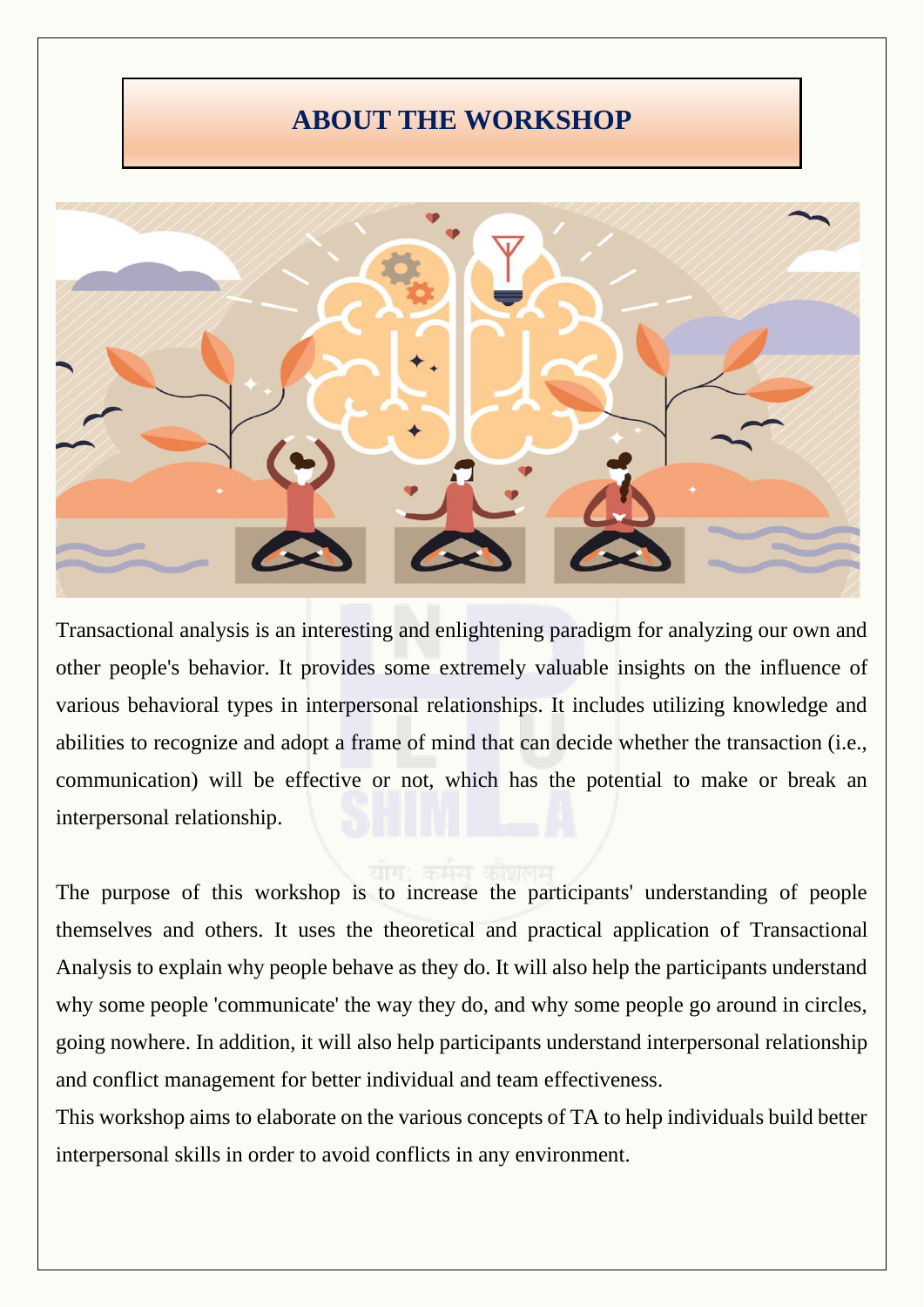### **ABOUT THE WORKSHOP**



Transactional analysis is an interesting and enlightening paradigm for analyzing our own and other people's behavior. It provides some extremely valuable insights on the influence of various behavioral types in interpersonal relationships. It includes utilizing knowledge and abilities to recognize and adopt a frame of mind that can decide whether the transaction (i.e., communication) will be effective or not, which has the potential to make or break an interpersonal relationship.

The purpose of this workshop is to increase the participants' understanding of people themselves and others. It uses the theoretical and practical application of Transactional Analysis to explain why people behave as they do. It will also help the participants understand why some people 'communicate' the way they do, and why some people go around in circles, going nowhere. In addition, it will also help participants understand interpersonal relationship and conflict management for better individual and team effectiveness.

This workshop aims to elaborate on the various concepts of TA to help individuals build better interpersonal skills in order to avoid conflicts in any environment.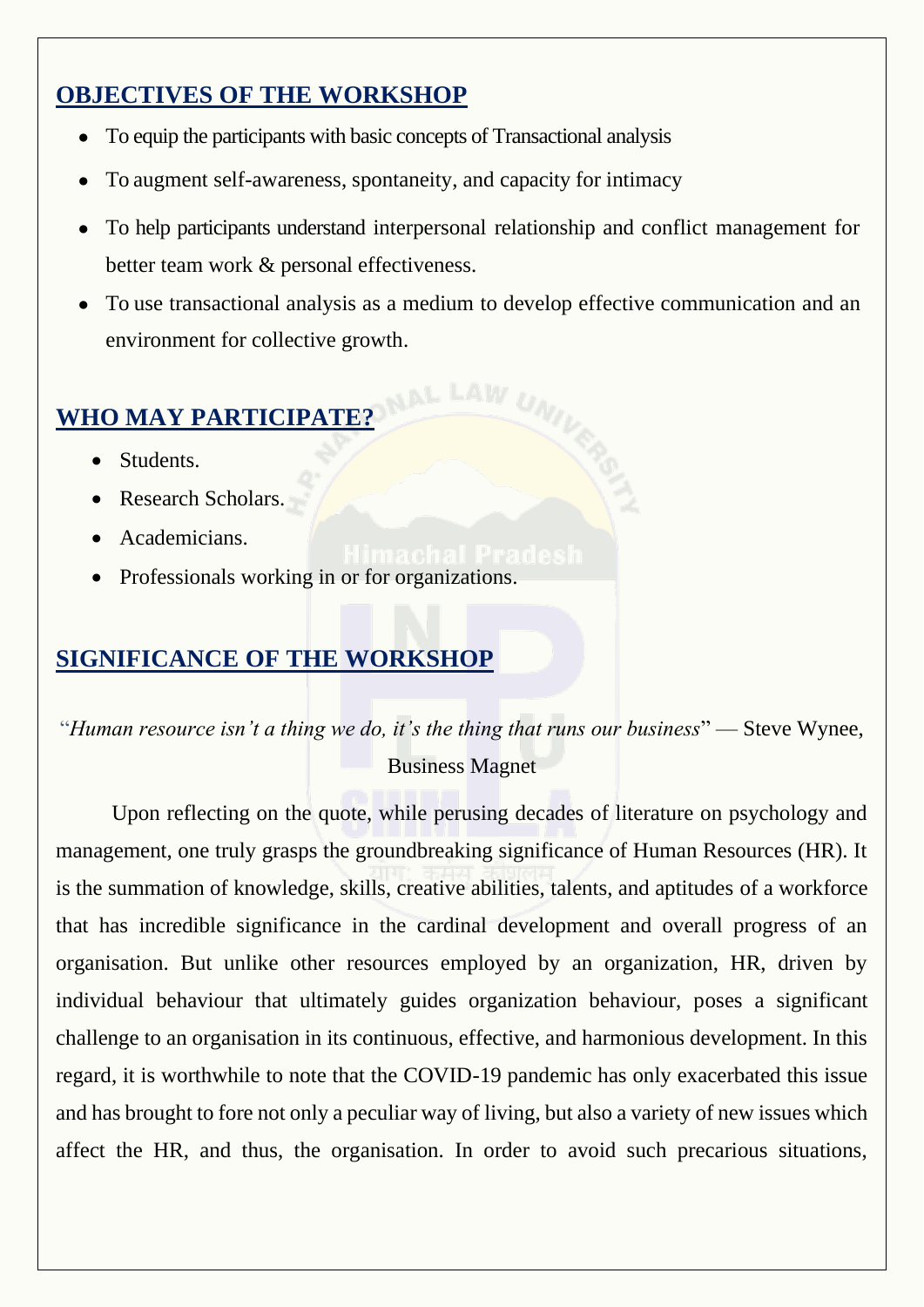#### **OBJECTIVES OF THE WORKSHOP**

- To equip the participants with basic concepts of Transactional analysis
- To augment self-awareness, spontaneity, and capacity for intimacy
- To help participants understand interpersonal relationship and conflict management for better team work & personal effectiveness.
- To use transactional analysis as a medium to develop effective communication and an environment for collective growth.

# **WHO MAY PARTICIPATE?**

- Students.
- Research Scholars.
- Academicians.
- Professionals working in or for organizations.

#### **SIGNIFICANCE OF THE WORKSHOP**

"*Human resource isn't a thing we do, it's the thing that runs our business*" — Steve Wynee, Business Magnet

Upon reflecting on the quote, while perusing decades of literature on psychology and management, one truly grasps the groundbreaking significance of Human Resources (HR). It is the summation of knowledge, skills, creative abilities, talents, and aptitudes of a workforce that has incredible significance in the cardinal development and overall progress of an organisation. But unlike other resources employed by an organization, HR, driven by individual behaviour that ultimately guides organization behaviour, poses a significant challenge to an organisation in its continuous, effective, and harmonious development. In this regard, it is worthwhile to note that the COVID-19 pandemic has only exacerbated this issue and has brought to fore not only a peculiar way of living, but also a variety of new issues which affect the HR, and thus, the organisation. In order to avoid such precarious situations,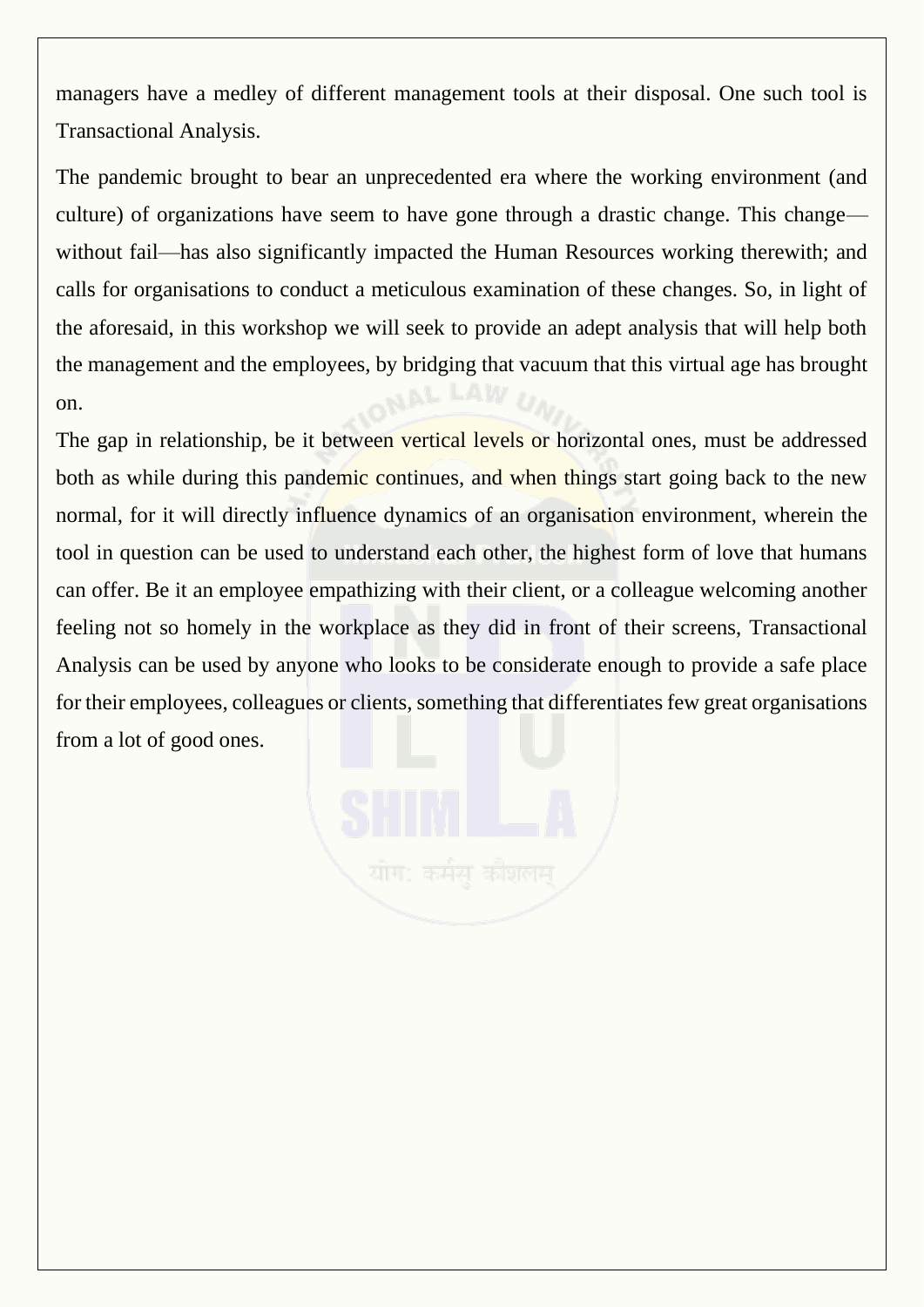managers have a medley of different management tools at their disposal. One such tool is Transactional Analysis.

The pandemic brought to bear an unprecedented era where the working environment (and culture) of organizations have seem to have gone through a drastic change. This change without fail—has also significantly impacted the Human Resources working therewith; and calls for organisations to conduct a meticulous examination of these changes. So, in light of the aforesaid, in this workshop we will seek to provide an adept analysis that will help both the management and the employees, by bridging that vacuum that this virtual age has brought on.

The gap in relationship, be it between vertical levels or horizontal ones, must be addressed both as while during this pandemic continues, and when things start going back to the new normal, for it will directly influence dynamics of an organisation environment, wherein the tool in question can be used to understand each other, the highest form of love that humans can offer. Be it an employee empathizing with their client, or a colleague welcoming another feeling not so homely in the workplace as they did in front of their screens, Transactional Analysis can be used by anyone who looks to be considerate enough to provide a safe place for their employees, colleagues or clients, something that differentiates few great organisations from a lot of good ones.

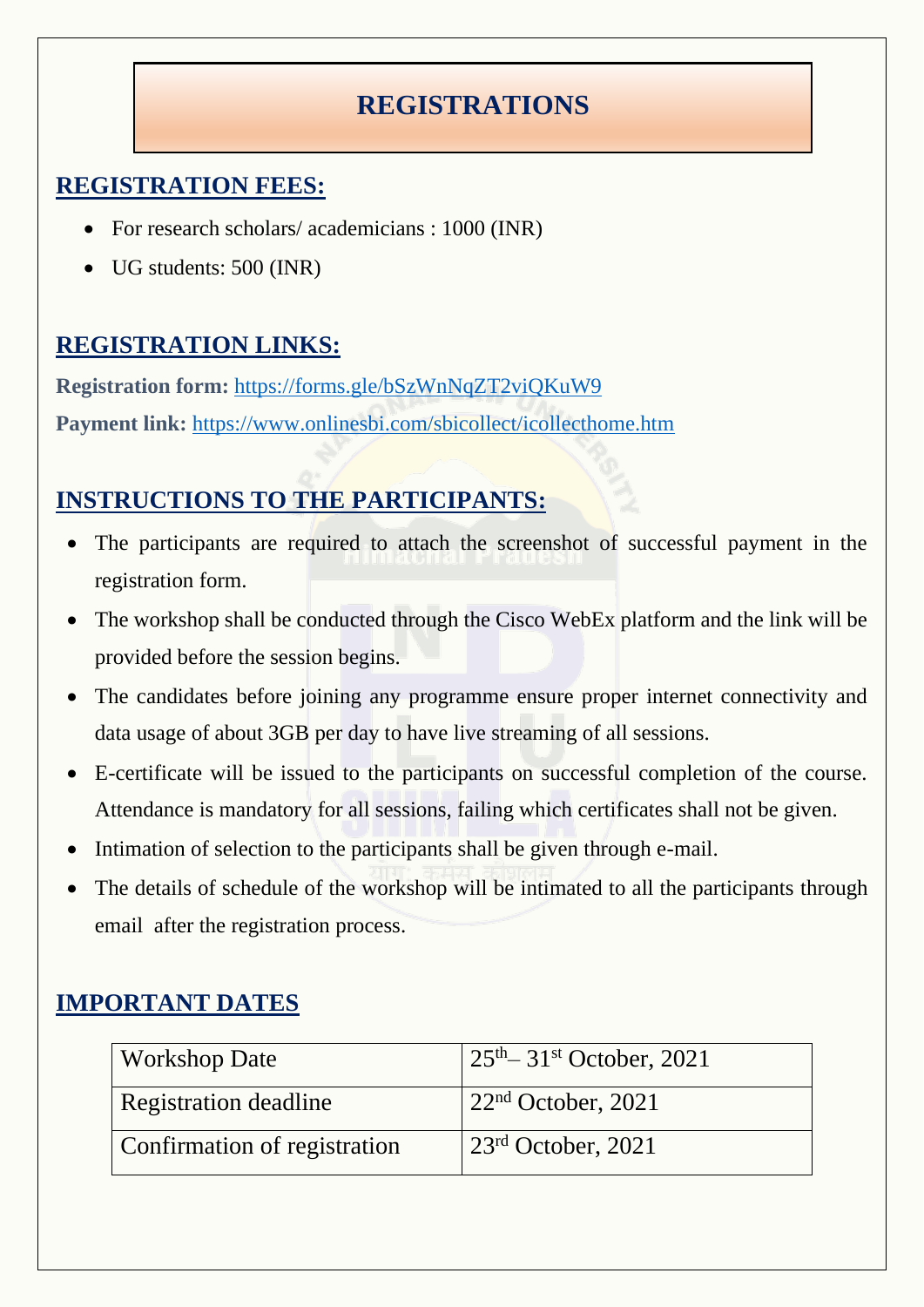## **REGISTRATIONS**

#### **REGISTRATION FEES:**

- For research scholars/ academicians : 1000 (INR)
- UG students: 500 (INR)

### **REGISTRATION LINKS:**

**Registration form:** <https://forms.gle/bSzWnNqZT2viQKuW9> **Payment link:** <https://www.onlinesbi.com/sbicollect/icollecthome.htm>

### **INSTRUCTIONS TO THE PARTICIPANTS:**

- The participants are required to attach the screenshot of successful payment in the registration form.
- The workshop shall be conducted through the Cisco WebEx platform and the link will be provided before the session begins.
- The candidates before joining any programme ensure proper internet connectivity and data usage of about 3GB per day to have live streaming of all sessions.
- E-certificate will be issued to the participants on successful completion of the course. Attendance is mandatory for all sessions, failing which certificates shall not be given.
- Intimation of selection to the participants shall be given through e-mail.
- The details of schedule of the workshop will be intimated to all the participants through email after the registration process.

#### **IMPORTANT DATES**

| <b>Workshop Date</b>         | $25th - 31st$ October, 2021    |
|------------------------------|--------------------------------|
| Registration deadline        | 22 <sup>nd</sup> October, 2021 |
| Confirmation of registration | $23rd$ October, 2021           |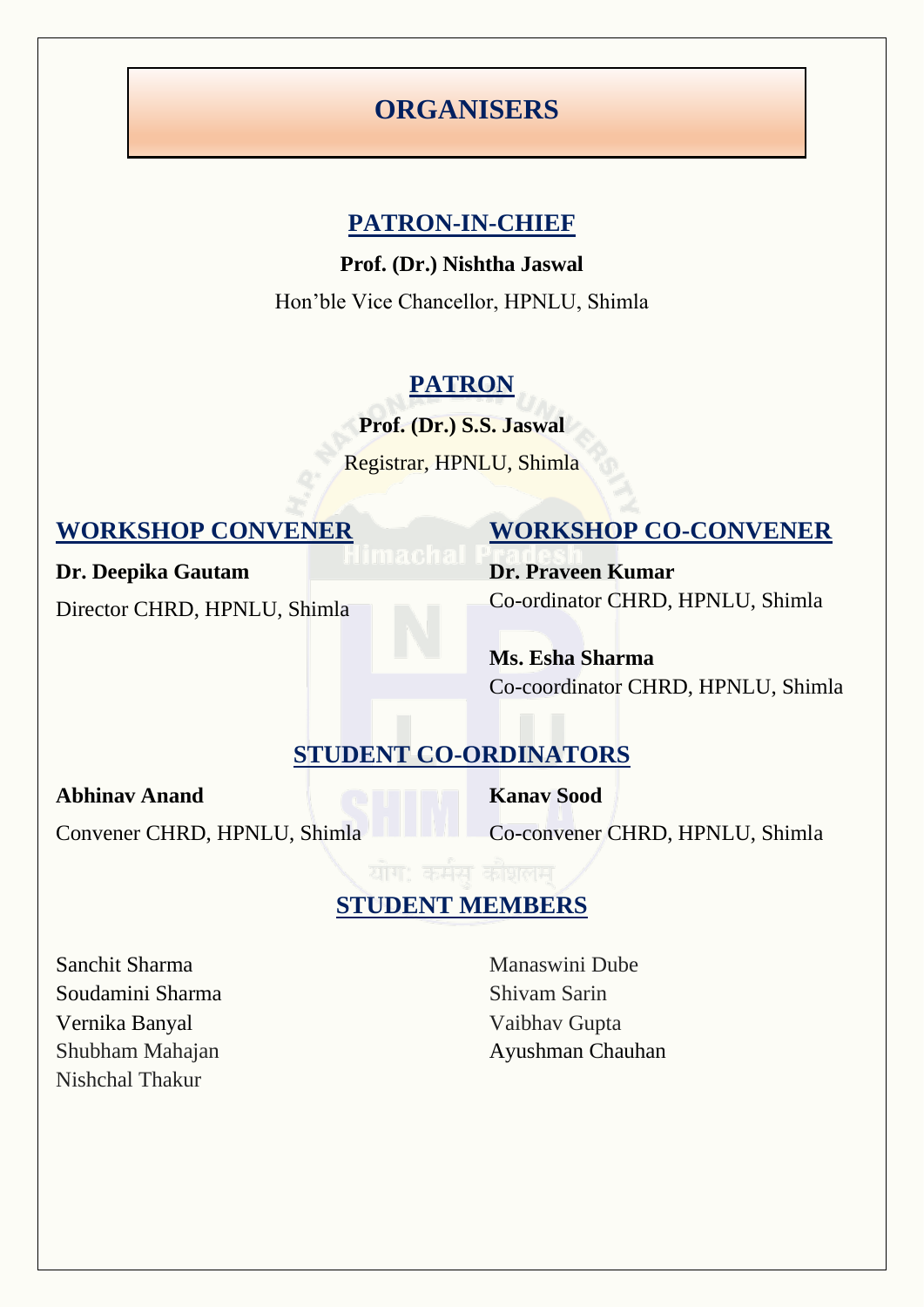#### **ORGANISERS**

#### **PATRON-IN-CHIEF**

**Prof. (Dr.) Nishtha Jaswal**

Hon'ble Vice Chancellor, HPNLU, Shimla

#### **PATRON**

**Prof. (Dr.) S.S. Jaswal**

Registrar, HPNLU, Shimla

**Dr. Deepika Gautam**

Director CHRD, HPNLU, Shimla

#### **WORKSHOP CONVENER WORKSHOP CO-CONVENER**

**Dr. Praveen Kumar** Co-ordinator CHRD, HPNLU, Shimla

**Ms. Esha Sharma** Co-coordinator CHRD, HPNLU, Shimla

#### **STUDENT CO-ORDINATORS**

**Abhinav Anand**

Convener CHRD, HPNLU, Shimla

**Kanav Sood**

Co-convener CHRD, HPNLU, Shimla

# **STUDENT MEMBERS**

Sanchit Sharma Soudamini Sharma Vernika Banyal Shubham Mahajan Nishchal Thakur

Manaswini Dube Shivam Sarin Vaibhav Gupta Ayushman Chauhan